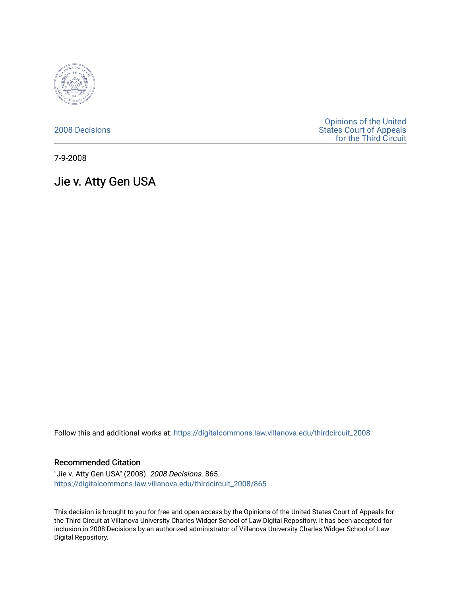

[2008 Decisions](https://digitalcommons.law.villanova.edu/thirdcircuit_2008)

[Opinions of the United](https://digitalcommons.law.villanova.edu/thirdcircuit)  [States Court of Appeals](https://digitalcommons.law.villanova.edu/thirdcircuit)  [for the Third Circuit](https://digitalcommons.law.villanova.edu/thirdcircuit) 

7-9-2008

Jie v. Atty Gen USA

Follow this and additional works at: [https://digitalcommons.law.villanova.edu/thirdcircuit\\_2008](https://digitalcommons.law.villanova.edu/thirdcircuit_2008?utm_source=digitalcommons.law.villanova.edu%2Fthirdcircuit_2008%2F865&utm_medium=PDF&utm_campaign=PDFCoverPages) 

## Recommended Citation

"Jie v. Atty Gen USA" (2008). 2008 Decisions. 865. [https://digitalcommons.law.villanova.edu/thirdcircuit\\_2008/865](https://digitalcommons.law.villanova.edu/thirdcircuit_2008/865?utm_source=digitalcommons.law.villanova.edu%2Fthirdcircuit_2008%2F865&utm_medium=PDF&utm_campaign=PDFCoverPages)

This decision is brought to you for free and open access by the Opinions of the United States Court of Appeals for the Third Circuit at Villanova University Charles Widger School of Law Digital Repository. It has been accepted for inclusion in 2008 Decisions by an authorized administrator of Villanova University Charles Widger School of Law Digital Repository.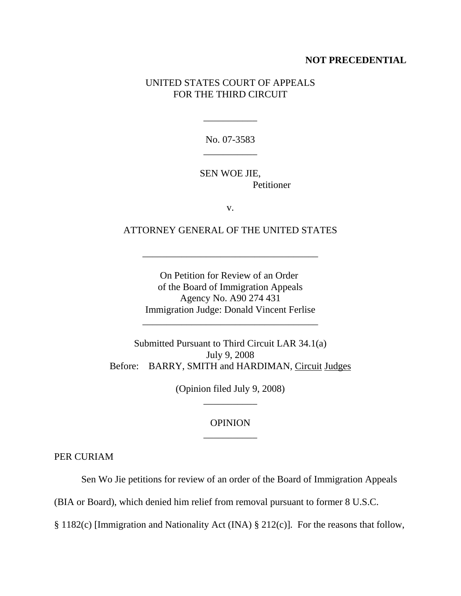## **NOT PRECEDENTIAL**

## UNITED STATES COURT OF APPEALS FOR THE THIRD CIRCUIT

No. 07-3583 \_\_\_\_\_\_\_\_\_\_\_

\_\_\_\_\_\_\_\_\_\_\_

SEN WOE JIE, Petitioner

v.

ATTORNEY GENERAL OF THE UNITED STATES

\_\_\_\_\_\_\_\_\_\_\_\_\_\_\_\_\_\_\_\_\_\_\_\_\_\_\_\_\_\_\_\_\_\_\_\_

On Petition for Review of an Order of the Board of Immigration Appeals Agency No. A90 274 431 Immigration Judge: Donald Vincent Ferlise

\_\_\_\_\_\_\_\_\_\_\_\_\_\_\_\_\_\_\_\_\_\_\_\_\_\_\_\_\_\_\_\_\_\_\_\_

Submitted Pursuant to Third Circuit LAR 34.1(a) July 9, 2008 Before: BARRY, SMITH and HARDIMAN, Circuit Judges

> (Opinion filed July 9, 2008) \_\_\_\_\_\_\_\_\_\_\_

## OPINION \_\_\_\_\_\_\_\_\_\_\_

PER CURIAM

Sen Wo Jie petitions for review of an order of the Board of Immigration Appeals

(BIA or Board), which denied him relief from removal pursuant to former 8 U.S.C.

§ 1182(c) [Immigration and Nationality Act (INA) § 212(c)]. For the reasons that follow,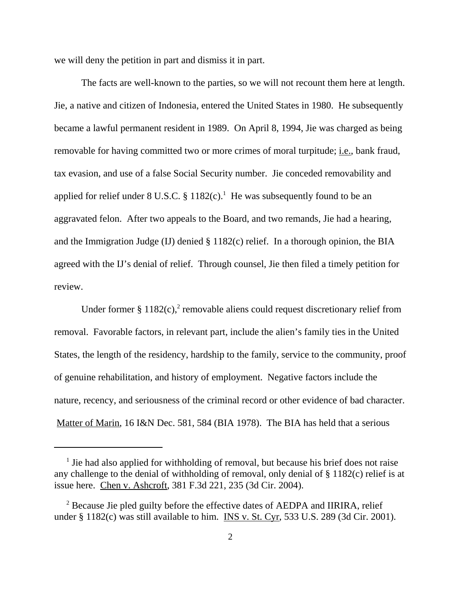we will deny the petition in part and dismiss it in part.

The facts are well-known to the parties, so we will not recount them here at length. Jie, a native and citizen of Indonesia, entered the United States in 1980. He subsequently became a lawful permanent resident in 1989. On April 8, 1994, Jie was charged as being removable for having committed two or more crimes of moral turpitude; i.e., bank fraud, tax evasion, and use of a false Social Security number. Jie conceded removability and applied for relief under 8 U.S.C.  $\S 1182(c)$ .<sup>1</sup> He was subsequently found to be an aggravated felon. After two appeals to the Board, and two remands, Jie had a hearing, and the Immigration Judge (IJ) denied § 1182(c) relief. In a thorough opinion, the BIA agreed with the IJ's denial of relief. Through counsel, Jie then filed a timely petition for review.

Under former §  $1182(c)$ ,<sup>2</sup> removable aliens could request discretionary relief from removal. Favorable factors, in relevant part, include the alien's family ties in the United States, the length of the residency, hardship to the family, service to the community, proof of genuine rehabilitation, and history of employment. Negative factors include the nature, recency, and seriousness of the criminal record or other evidence of bad character. Matter of Marin, 16 I&N Dec. 581, 584 (BIA 1978). The BIA has held that a serious

<sup>&</sup>lt;sup>1</sup> Jie had also applied for withholding of removal, but because his brief does not raise any challenge to the denial of withholding of removal, only denial of § 1182(c) relief is at issue here. Chen v. Ashcroft, 381 F.3d 221, 235 (3d Cir. 2004).

<sup>&</sup>lt;sup>2</sup> Because Jie pled guilty before the effective dates of AEDPA and IIRIRA, relief under § 1182(c) was still available to him. INS v. St. Cyr, 533 U.S. 289 (3d Cir. 2001).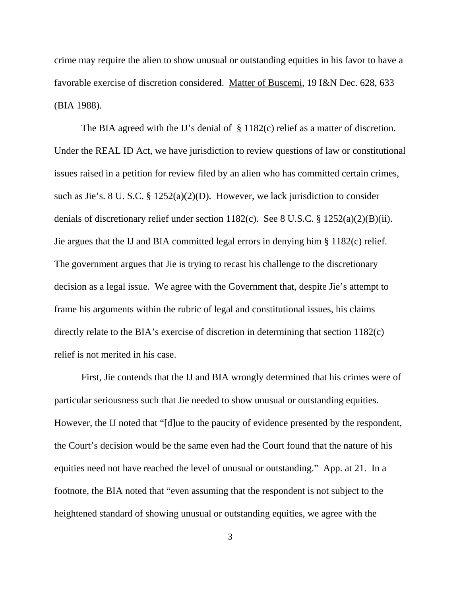crime may require the alien to show unusual or outstanding equities in his favor to have a favorable exercise of discretion considered. Matter of Buscemi, 19 I&N Dec. 628, 633 (BIA 1988).

The BIA agreed with the IJ's denial of § 1182(c) relief as a matter of discretion. Under the REAL ID Act, we have jurisdiction to review questions of law or constitutional issues raised in a petition for review filed by an alien who has committed certain crimes, such as Jie's. 8 U. S.C. § 1252(a)(2)(D). However, we lack jurisdiction to consider denials of discretionary relief under section 1182(c). See 8 U.S.C. § 1252(a)(2)(B)(ii). Jie argues that the IJ and BIA committed legal errors in denying him § 1182(c) relief. The government argues that Jie is trying to recast his challenge to the discretionary decision as a legal issue. We agree with the Government that, despite Jie's attempt to frame his arguments within the rubric of legal and constitutional issues, his claims directly relate to the BIA's exercise of discretion in determining that section 1182(c) relief is not merited in his case.

First, Jie contends that the IJ and BIA wrongly determined that his crimes were of particular seriousness such that Jie needed to show unusual or outstanding equities. However, the IJ noted that "[d]ue to the paucity of evidence presented by the respondent, the Court's decision would be the same even had the Court found that the nature of his equities need not have reached the level of unusual or outstanding." App. at 21. In a footnote, the BIA noted that "even assuming that the respondent is not subject to the heightened standard of showing unusual or outstanding equities, we agree with the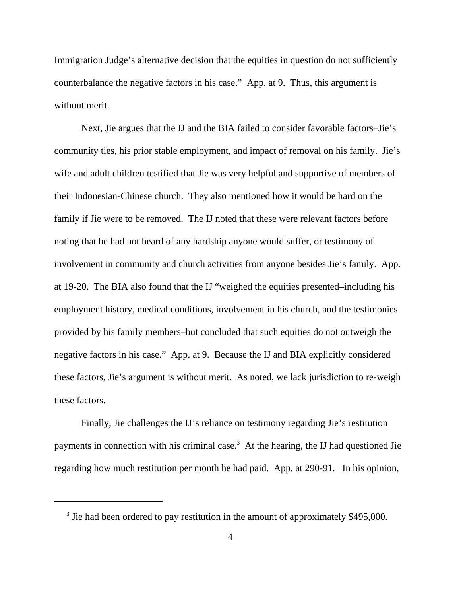Immigration Judge's alternative decision that the equities in question do not sufficiently counterbalance the negative factors in his case." App. at 9. Thus, this argument is without merit.

Next, Jie argues that the IJ and the BIA failed to consider favorable factors–Jie's community ties, his prior stable employment, and impact of removal on his family. Jie's wife and adult children testified that Jie was very helpful and supportive of members of their Indonesian-Chinese church. They also mentioned how it would be hard on the family if Jie were to be removed. The IJ noted that these were relevant factors before noting that he had not heard of any hardship anyone would suffer, or testimony of involvement in community and church activities from anyone besides Jie's family. App. at 19-20. The BIA also found that the IJ "weighed the equities presented–including his employment history, medical conditions, involvement in his church, and the testimonies provided by his family members–but concluded that such equities do not outweigh the negative factors in his case." App. at 9. Because the IJ and BIA explicitly considered these factors, Jie's argument is without merit. As noted, we lack jurisdiction to re-weigh these factors.

Finally, Jie challenges the IJ's reliance on testimony regarding Jie's restitution payments in connection with his criminal case.<sup>3</sup> At the hearing, the IJ had questioned Jie regarding how much restitution per month he had paid. App. at 290-91. In his opinion,

<sup>&</sup>lt;sup>3</sup> Jie had been ordered to pay restitution in the amount of approximately \$495,000.